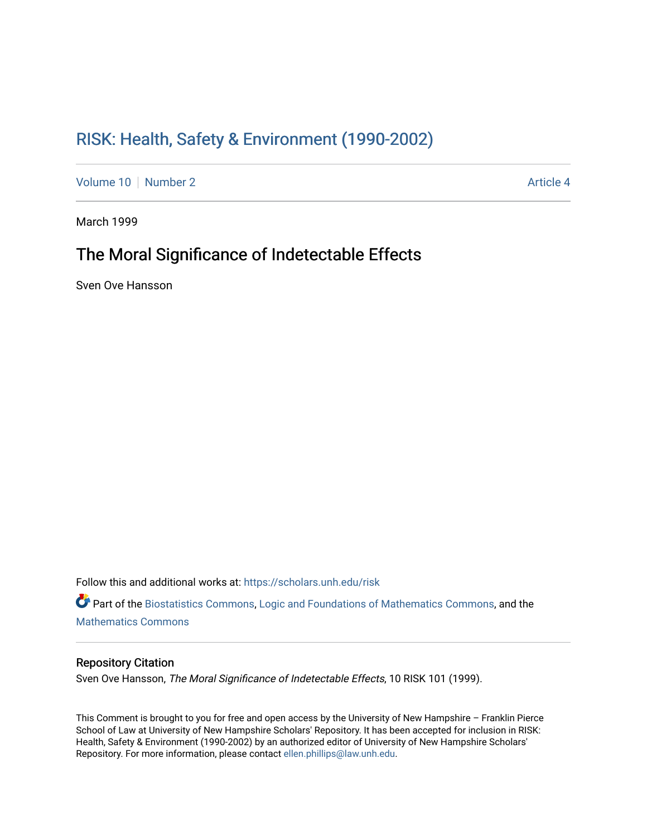# [RISK: Health, Safety & Environment \(1990-2002\)](https://scholars.unh.edu/risk)

[Volume 10](https://scholars.unh.edu/risk/vol10) [Number 2](https://scholars.unh.edu/risk/vol10/iss2) Article 4

March 1999

# The Moral Significance of Indetectable Effects

Sven Ove Hansson

Follow this and additional works at: [https://scholars.unh.edu/risk](https://scholars.unh.edu/risk?utm_source=scholars.unh.edu%2Frisk%2Fvol10%2Fiss2%2F4&utm_medium=PDF&utm_campaign=PDFCoverPages)  Part of the [Biostatistics Commons,](http://network.bepress.com/hgg/discipline/210?utm_source=scholars.unh.edu%2Frisk%2Fvol10%2Fiss2%2F4&utm_medium=PDF&utm_campaign=PDFCoverPages) [Logic and Foundations of Mathematics Commons,](http://network.bepress.com/hgg/discipline/532?utm_source=scholars.unh.edu%2Frisk%2Fvol10%2Fiss2%2F4&utm_medium=PDF&utm_campaign=PDFCoverPages) and the [Mathematics Commons](http://network.bepress.com/hgg/discipline/174?utm_source=scholars.unh.edu%2Frisk%2Fvol10%2Fiss2%2F4&utm_medium=PDF&utm_campaign=PDFCoverPages)

#### Repository Citation

Sven Ove Hansson, The Moral Significance of Indetectable Effects, 10 RISK 101 (1999).

This Comment is brought to you for free and open access by the University of New Hampshire – Franklin Pierce School of Law at University of New Hampshire Scholars' Repository. It has been accepted for inclusion in RISK: Health, Safety & Environment (1990-2002) by an authorized editor of University of New Hampshire Scholars' Repository. For more information, please contact [ellen.phillips@law.unh.edu](mailto:ellen.phillips@law.unh.edu).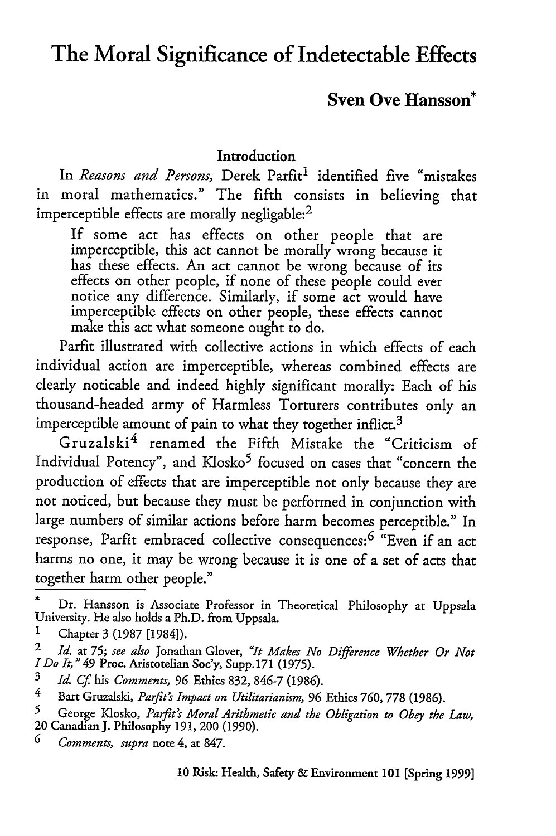# **The Moral Significance of Indetectable Effects**

## **Sven Ove Hansson\***

### **Introduction**

In *Reasons and Persons*, Derek Parfit<sup>1</sup> identified five "mistakes in moral mathematics." The fifth consists in believing that imperceptible effects are morally negligable: $<sup>2</sup>$ </sup>

If some act has effects on other people that are imperceptible, this act cannot be morally wrong because it has these effects. An act cannot be wrong because of its effects on other people, if none of these people could ever notice any difference. Similarly, if some act would have imperceptible effects on other people, these effects cannot make this act what someone ought to do.

Parfit illustrated with collective actions in which effects of each individual action are imperceptible, whereas combined effects are clearly noticable and indeed highly significant morally: Each of his thousand-headed army of Harmless Torturers contributes only an imperceptible amount of pain to what they together inflict.<sup>3</sup>

Gruzalski<sup>4</sup> renamed the Fifth Mistake the "Criticism of Individual Potency", and Klosko<sup>5</sup> focused on cases that "concern the production of effects that are imperceptible not only because they are not noticed, but because they must be performed in conjunction with large numbers of similar actions before harm becomes perceptible." In response, Parfit embraced collective consequences:<sup>6</sup> "Even if an act harms no one, it may be wrong because it is one of a set of acts that together harm other people."

**5** George Kiosko, *Parft's Moral Arithmetic and the Obligation to Obey the Law,* 20 Canadian **J.** Philosophy **191,** 200 **(1990).**

*6 Comments, supra* note **4, at 847.**

Dr. Hansson is Associate Professor in Theoretical Philosophy at Uppsala University. He also holds a Ph.D. from Uppsala.

**<sup>1</sup>** Chapter 3 (1987 [1984]).

<sup>2</sup> *Id.* at **75;** *see also* Jonathan Glover, *"It Makes No Difference Whether Or Not I Do It,* " 49 Proc. Aristotelian Soc'y, Supp.171 (1975).

**<sup>3</sup>***Id. Cf* his *Comments,* **96** Ethics 832, **846-7** (1986).

**<sup>4</sup>** Bart Gruzalski, *Parft's Impact on Utilitarianism, 96* Ethics **760, 778 (1986).**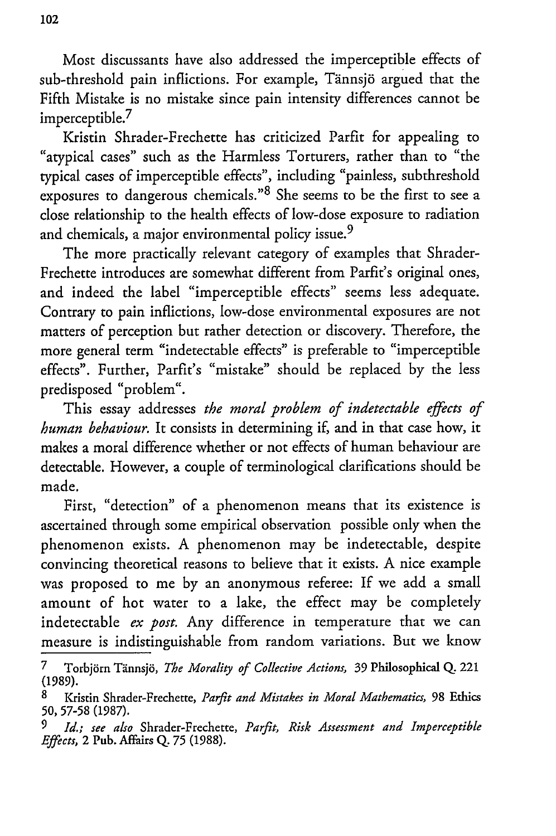Most discussants have also addressed the imperceptible effects of sub-threshold pain inflictions. For example, Tännsjö argued that the Fifth Mistake is no mistake since pain intensity differences cannot be imperceptible.<sup>7</sup>

Kristin Shrader-Frechette has criticized Parfit for appealing to "atypical cases" such as the Harmless Torturers, rather than to "the typical cases of imperceptible effects", including "painless, subthreshold exposures to dangerous chemicals."<sup>8</sup> She seems to be the first to see a close relationship to the health effects of low-dose exposure to radiation and chemicals, a major environmental policy issue.<sup>9</sup>

The more practically relevant category of examples that Shrader-Frechette introduces are somewhat different from Parfit's original ones, and indeed the label "imperceptible effects" seems less adequate. Contrary to pain inflictions, low-dose environmental exposures are not matters of perception but rather detection or discovery. Therefore, the more general term "indetectable effects" is preferable to "imperceptible effects". Further, Parfit's "mistake" should be replaced by the less predisposed "problem".

This essay addresses *the moral problem of indetectable effects of human behaviour.* It consists in determining if, and in that case how, it makes a moral difference whether or not effects of human behaviour are detectable. However, a couple of terminological clarifications should be made.

First, "detection" of a phenomenon means that its existence is ascertained through some empirical observation possible only when the phenomenon exists. A phenomenon may be indetectable, despite convincing theoretical reasons to believe that it exists. A nice example was proposed to me by an anonymous referee: If we add a small amount of hot water to a lake, the effect may be completely indetectable *ex post.* Any difference in temperature that we can measure is indistinguishable from random variations. But we know

<sup>7</sup> Torbj6rn Tainnsj;5, *The Morality of Collective Actions,* 39 Philosophical **Q.** 221 (1989).

<sup>8</sup> Kristin Shrader-Frechette, *Parfit and Mistakes in Moral Mathematics,* 98 Ethics **50, 57-58** (1987).

*<sup>9</sup> Id.; see also* Shrader-Frechette, *Parfit, Risk Assessment and Imperceptible Effects,* 2 Pub. Affairs **Q. 75** (1988).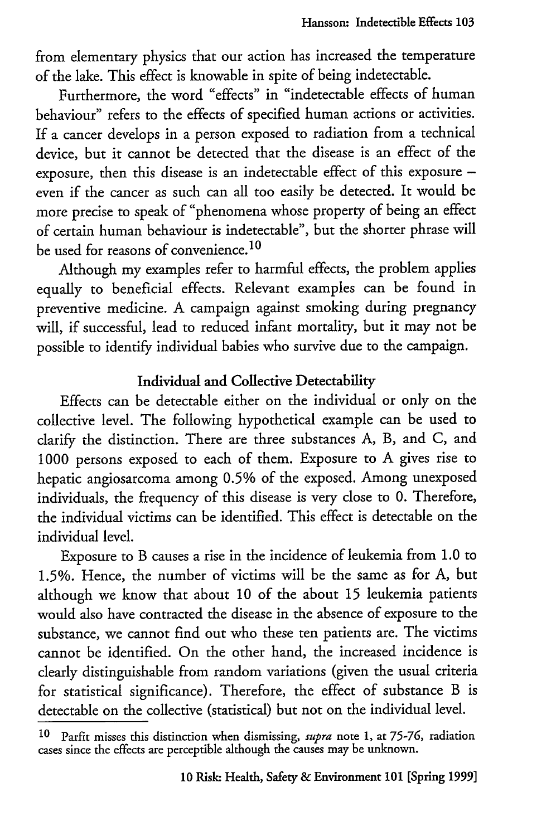from elementary physics that our action has increased the temperature of the lake. This effect is knowable in spite of being indetectable.

Furthermore, the word "effects" in "indetectable effects of human behaviour" refers to the effects of specified human actions or activities. If a cancer develops in a person exposed to radiation from a technical device, but it cannot be detected that the disease is an effect of the exposure, then this disease is an indetectable effect of this exposure even if the cancer as such can all too easily be detected. It would be more precise to speak of "phenomena whose property of being an effect of certain human behaviour is indetectable", but the shorter phrase will be used for reasons of convenience. <sup>10</sup>

Although my examples refer to harmful effects, the problem applies equally to beneficial effects. Relevant examples can be found in preventive medicine. A campaign against smoking during pregnancy will, if successful, lead to reduced infant mortality, but it may not be possible to identify individual babies who survive due to the campaign.

## Individual and Collective Detectability

Effects can be detectable either on the individual or only on the collective level. The following hypothetical example can be used to clarify the distinction. There are three substances **A,** B, and **C,** and **1000** persons exposed to each of them. Exposure to **A** gives rise to hepatic angiosarcoma among **0.5%** of the exposed. Among unexposed individuals, the frequency of this disease is very close to **0.** Therefore, the individual victims can be identified. This effect is detectable on the individual level.

Exposure to B causes a rise in the incidence of leukemia from **1.0** to **1.5%.** Hence, the number of victims will be the same as for **A,** but although we know that about 10 of the about **15** leukemia patients would also have contracted the disease in the absence of exposure to the substance, we cannot find out who these ten patients are. The victims cannot be identified. On the other hand, the increased incidence is clearly distinguishable from random variations (given the usual criteria for statistical significance). Therefore, the effect of substance B is detectable on the collective (statistical) but not on the individual level.

**<sup>10</sup>** Parfit misses this distinction when dismissing, *supra* note **1,** at 75-76, radiation cases since the effects are perceptible although the causes may be unknown.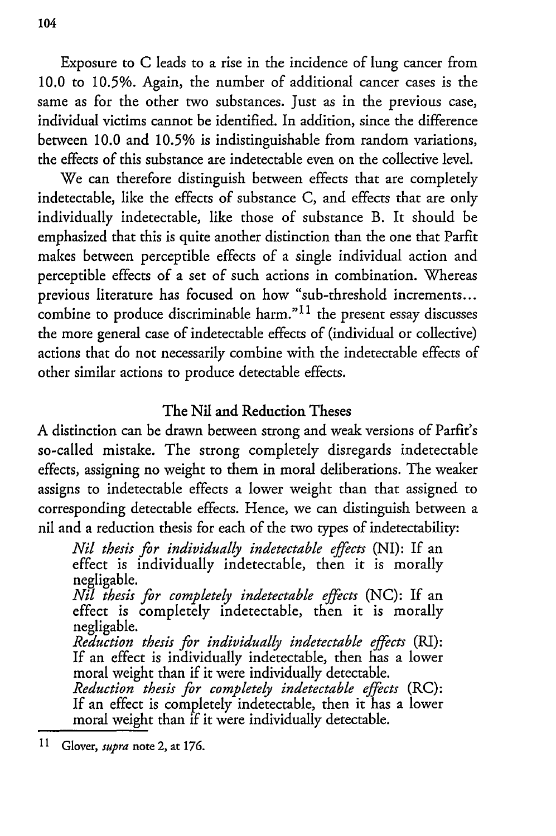Exposure to C leads to a rise in the incidence of lung cancer from 10.0 to *10.5%.* Again, the number of additional cancer cases is the same as for the other two substances. Just as in the previous case, individual victims cannot be identified. In addition, since the difference between 10.0 and 10.5% is indistinguishable from random variations, the effects of this substance are indetectable even on the collective level.

We can therefore distinguish between effects that are completely indetectable, like the effects of substance C, and effects that are only individually indetectable, like those of substance B. It should be emphasized that this is quite another distinction than the one that Parfit makes between perceptible effects of a single individual action and perceptible effects of a set of such actions in combination. Whereas previous literature has focused on how "sub-threshold increments... combine to produce discriminable harm." $11$  the present essay discusses the more general case of indetectable effects of (individual or collective) actions that do not necessarily combine with the indetectable effects of other similar actions to produce detectable effects.

## The Nil and Reduction Theses

A distinction can be drawn between strong and weak versions of Parfit's so-called mistake. The strong completely disregards indetectable effects, assigning no weight to them in moral deliberations. The weaker assigns to indetectable effects a lower weight than that assigned to corresponding detectable effects. Hence, we can distinguish between a nil and a reduction thesis for each of the two types of indetectability:

*Nil thesis for individually indetectable effects* (NI): If an effect is individually indetectable, then it is morally negligable.

*Nil thesis for completely indetectable effects* (NC): If an effect is completely indetectable, then it is morally negligable.

*Reduction thesis for individually indetectable effects* (RI): If an effect is individually indetectable, then has a lower moral weight than if it were individually detectable.

*Reduction thesis for completely indetectable effects* (RC): If an effect is completely indetectable, then it has a lower moral weight than if it were individually detectable.

<sup>11</sup> Glover, *supra* note 2, at 176.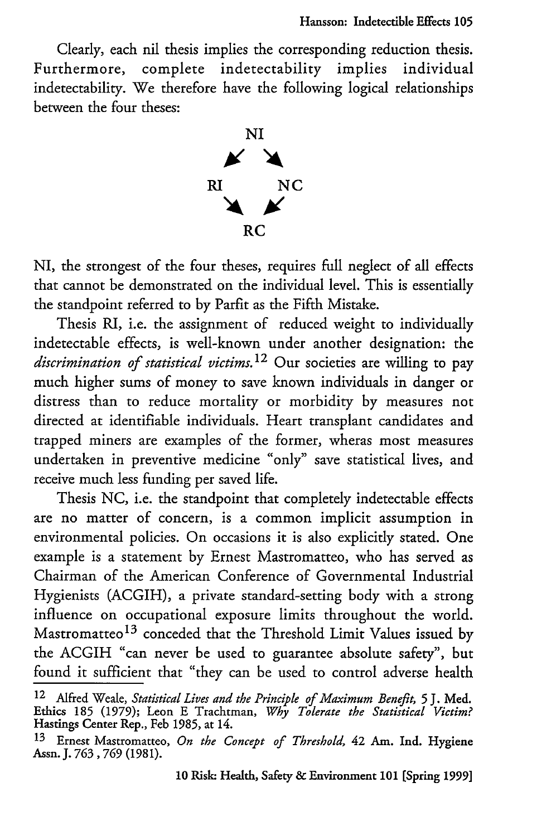Clearly, each nil thesis implies the corresponding reduction thesis. Furthermore, complete indetectability implies individual indetectability. We therefore have the following logical relationships between the four theses:



NI, the strongest of the four theses, requires full neglect of all effects that cannot be demonstrated on the individual level. This is essentially the standpoint referred to by Parfit as the Fifth Mistake.

Thesis RI, i.e. the assignment of reduced weight to individually indetectable effects, is well-known under another designation: the *discrimination of statistical victims.12* Our societies are willing to pay much higher sums of money to save known individuals in danger or distress than to reduce mortality or morbidity by measures not directed at identifiable individuals. Heart transplant candidates and trapped miners are examples of the former, wheras most measures undertaken in preventive medicine "only" save statistical lives, and receive much less funding per saved life.

Thesis NC, i.e. the standpoint that completely indetectable effects are no matter of concern, is a common implicit assumption in environmental policies. On occasions it is also explicitly stated. One example is a statement by Ernest Mastromatteo, who has served as Chairman of the American Conference of Governmental Industrial Hygienists (ACGIH), a private standard-setting body with a strong influence on occupational exposure limits throughout the world. Mastromatteo 13 conceded that the Threshold Limit Values issued by the ACGIH "can never be used to guarantee absolute safety", but found it sufficient that "they can be used to control adverse health

<sup>12</sup> Alfred Weale, *Statistical Lives and the Principle of Maximum Benefit,* **5** J. **Med.** Ethics **185** (1979); Leon E Trachtman, *Why Tolerate the Statistical Victim?* Hastings Center Rep., Feb **1985,** at **14.**

**<sup>13</sup>**Ernest Mastromatteo, *On the Concept of Threshold,* 42 Am. Ind. Hygiene Assn. **J. 763, 769** (1981).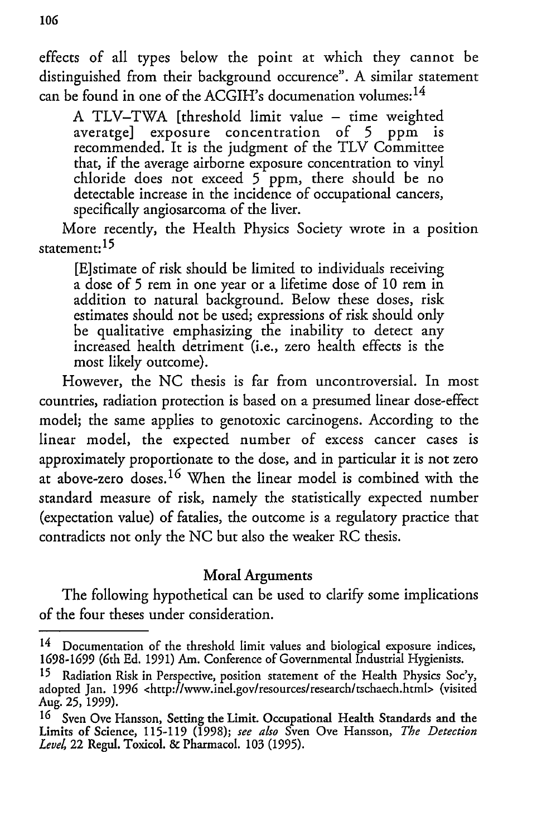effects of all types below the point at which they cannot be distinguished from their background occurence". A similar statement can be found in one of the ACGIH's documenation volumes:<sup>14</sup>

A TLV-TWA [threshold limit value - time weighted averatge] exposure concentration of 5 ppm is recommended. It is the judgment of the TLV Committee that, if the average airborne exposure concentration to vinyl chloride does not exceed 5 ppm, there should be no detectable increase in the incidence of occupational cancers, specifically angiosarcoma of the liver.

More recently, the Health Physics Society wrote in a position statement: **<sup>15</sup>**

[E]stimate of risk should be limited to individuals receiving a dose of 5 rem in one year or a lifetime dose of 10 rem in addition to natural background. Below these doses, risk estimates should not be used; expressions of risk should only be qualitative emphasizing the inability to detect any increased health detriment (i.e., zero health effects is the most likely outcome).

However, the NC thesis is far from uncontroversial. In most countries, radiation protection is based on a presumed linear dose-effect model; the same applies to genotoxic carcinogens. According to the linear model, the expected number of excess cancer cases is approximately proportionate to the dose, and in particular it is not zero at above-zero doses.<sup>16</sup> When the linear model is combined with the standard measure of risk, namely the statistically expected number (expectation value) of fatalies, the outcome is a regulatory practice that contradicts not only the NC but also the weaker RC thesis.

### Moral Arguments

The following hypothetical can be used to clarify some implications of the four theses under consideration.

<sup>&</sup>lt;sup>14</sup> Documentation of the threshold limit values and biological exposure indices, **1698-1699** (6th **Ed. 1991)** Am. Conference of Governmental Industrial Hygienists.

<sup>15</sup> Radiation Risk in Perspective, position statement of the Health Physics Soc'y, adopted Jan. 1996 <http://www.inel.gov/resources/research/tschaech.html> (visited Aug. **25,** 1999).

<sup>16</sup> Sven Ove Hansson, Setting the Limit. Occupational Health Standards and the Limits of Science, 115-119 (1998); *see also* Sven Ove Hansson, *The Detection Level,* 22 Regul. Toxicol. & Pharmacol. 103 (1995).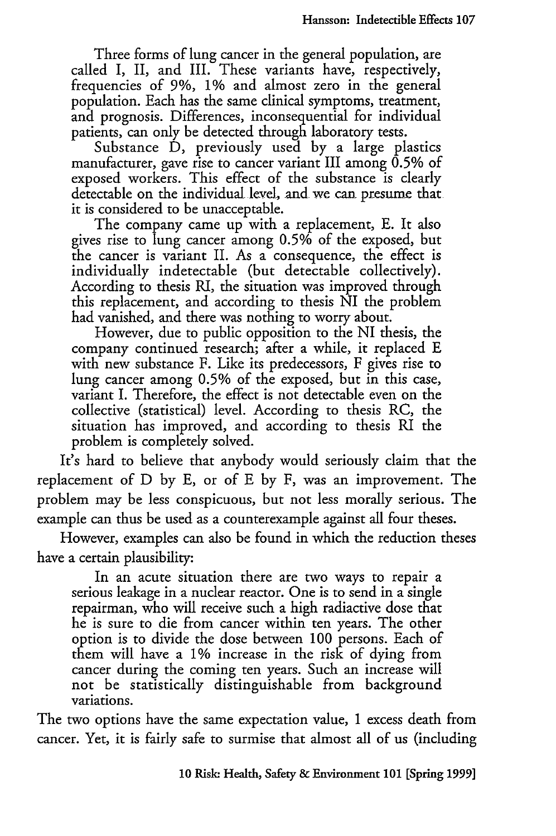Three forms of lung cancer in the general population, are called I, II, and III. These variants have, respectively, frequencies of **9%, 1%** and almost zero in the general population. Each has the same clinical symptoms, treatment, and prognosis. Differences, inconsequential for individual patients, can only be detected through laboratory tests.

Substance D, previously used by a large plastics manufacturer, gave rise to cancer variant III among 0.5% of exposed workers. This effect of the substance is clearly detectable on the individual level, and we can presume that **it** is considered to be unacceptable.

The company came up with a replacement, **E.** It also gives rise to lung cancer among **0.5%** of the exposed, but the cancer is variant II. As a consequence, the effect is individually indetectable (but detectable collectively). According to thesis *RI,* the situation was improved through this replacement, and according to thesis NI the problem had vanished, and there was nothing to worry about.

However, due to public opposition to the NI thesis, the company continued research; after a while, **it** replaced **E** with new substance F. Like its predecessors, F gives rise to lung cancer among **0.5%** of the exposed, but in this case, variant I. Therefore, the effect is not detectable even on the collective (statistical) level. According to thesis RC, the situation has improved, and according to thesis RI the problem is completely solved.

It's hard to believe that anybody would seriously claim that the replacement of D by E, or of E by F, was an improvement. The problem may be less conspicuous, but not less morally serious. The example can thus be used as a counterexample against all four theses.

However, examples can also be found in which the reduction theses have a certain plausibility:

In an acute situation there are two ways to repair a serious leakage in a nuclear reactor. One is to send in a single repairman, who will receive such a high radiactive dose that he is sure to die from cancer within ten years. The other option is to divide the dose between 100 persons. Each of them will have a **1%** increase in the risk of dying from cancer during the coming ten years. Such an increase will not be statistically distinguishable from background variations.

The two options have the same expectation value, **1** excess death from cancer. Yet, it is fairly safe to surmise that almost all of us (including